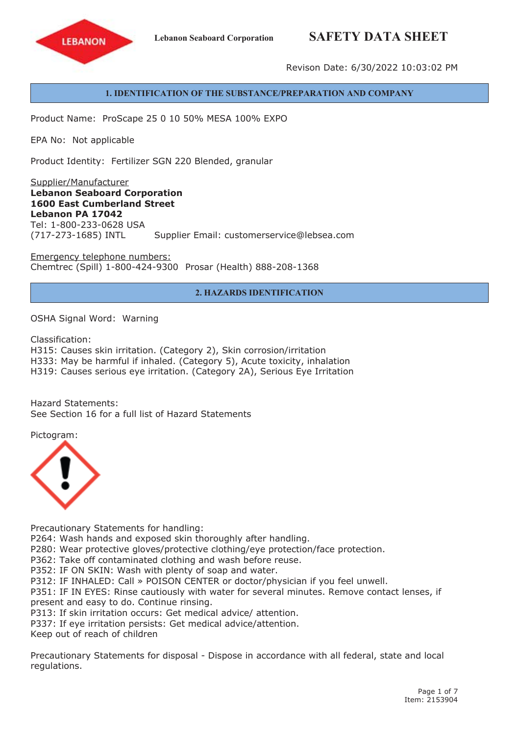## **Lebanon Seaboard Corporation SAFETY DATA SHEET**



Revison Date: 6/30/2022 10:03:02 PM

#### **1. IDENTIFICATION OF THE SUBSTANCE/PREPARATION AND COMPANY**

Product Name: ProScape 25 0 10 50% MESA 100% EXPO

EPA No: Not applicable

Product Identity: Fertilizer SGN 220 Blended, granular

Supplier/Manufacturer **Lebanon Seaboard Corporation 1600 East Cumberland Street Lebanon PA 17042** Tel: 1-800-233-0628 USA (717-273-1685) INTL Supplier Email: customerservice@lebsea.com

Emergency telephone numbers: Chemtrec (Spill) 1-800-424-9300 Prosar (Health) 888-208-1368

#### **2. HAZARDS IDENTIFICATION**

OSHA Signal Word: Warning

Classification:

H315: Causes skin irritation. (Category 2), Skin corrosion/irritation

H333: May be harmful if inhaled. (Category 5), Acute toxicity, inhalation

H319: Causes serious eye irritation. (Category 2A), Serious Eye Irritation

Hazard Statements: See Section 16 for a full list of Hazard Statements

Pictogram:



Precautionary Statements for handling:

P264: Wash hands and exposed skin thoroughly after handling.

P280: Wear protective gloves/protective clothing/eye protection/face protection.

P362: Take off contaminated clothing and wash before reuse.

P352: IF ON SKIN: Wash with plenty of soap and water.

P312: IF INHALED: Call » POISON CENTER or doctor/physician if you feel unwell.

P351: IF IN EYES: Rinse cautiously with water for several minutes. Remove contact lenses, if present and easy to do. Continue rinsing.

P313: If skin irritation occurs: Get medical advice/ attention.

P337: If eye irritation persists: Get medical advice/attention.

Keep out of reach of children

Precautionary Statements for disposal - Dispose in accordance with all federal, state and local regulations.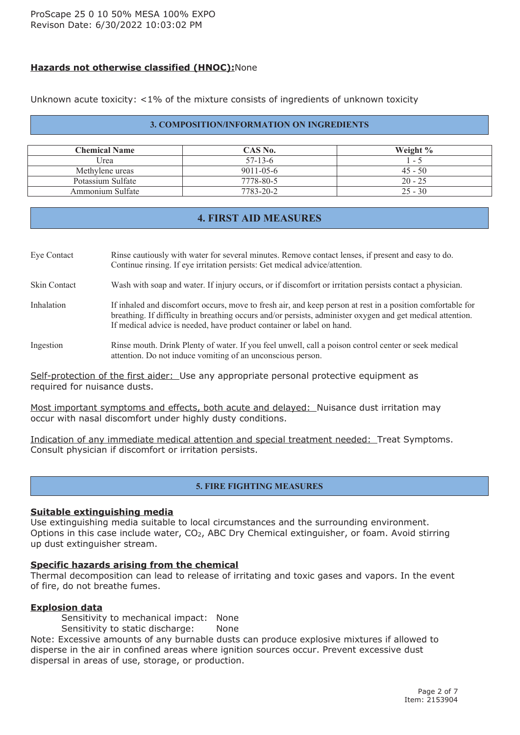## **Hazards not otherwise classified (HNOC):**None

Unknown acute toxicity: <1% of the mixture consists of ingredients of unknown toxicity

#### **3. COMPOSITION/INFORMATION ON INGREDIENTS**

| <b>Chemical Name</b> | CAS No.         | Weight $\%$ |
|----------------------|-----------------|-------------|
| Urea                 | $57-13-6$       | $ \sim$     |
| Methylene ureas      | $9011 - 05 - 6$ | $45 - 50$   |
| Potassium Sulfate    | 7778-80-5       | $20 - 25$   |
| Ammonium Sulfate     | 7783-20-2       | $25 - 30$   |

## **4. FIRST AID MEASURES**

Eye Contact Rinse cautiously with water for several minutes. Remove contact lenses, if presen<sup>t</sup> and easy to do. Continue rinsing. If eye irritation persists: Get medical advice/attention.

Skin Contact Wash with soap and water. If injury occurs, or if discomfort or irritation persists contact <sup>a</sup> physician.

Inhalation If inhaled and discomfort occurs, move to fresh air, and keep person at rest in a position comfortable for breathing. If difficulty in breathing occurs and/or persists, administer oxygen and ge<sup>t</sup> medical attention. If medical advice is needed, have product container or label on hand.

#### Ingestion Rinse mouth. Drink Plenty of water. If you feel unwell, call <sup>a</sup> poison control center or seek medical attention. Do not induce vomiting of an unconscious person.

Self-protection of the first aider: Use any appropriate personal protective equipment as required for nuisance dusts.

Most important symptoms and effects, both acute and delayed: Nuisance dust irritation may occur with nasal discomfort under highly dusty conditions.

Indication of any immediate medical attention and special treatment needed: Treat Symptoms. Consult physician if discomfort or irritation persists.

## **5. FIRE FIGHTING MEASURES**

#### **Suitable extinguishing media**

Use extinguishing media suitable to local circumstances and the surrounding environment. Options in this case include water, CO<sub>2</sub>, ABC Dry Chemical extinguisher, or foam. Avoid stirring up dust extinguisher stream.

#### **Specific hazards arising from the chemical**

Thermal decomposition can lead to release of irritating and toxic gases and vapors. In the event of fire, do not breathe fumes.

#### **Explosion data**

Sensitivity to mechanical impact: None

Sensitivity to static discharge: None

Note: Excessive amounts of any burnable dusts can produce explosive mixtures if allowed to disperse in the air in confined areas where ignition sources occur. Prevent excessive dust dispersal in areas of use, storage, or production.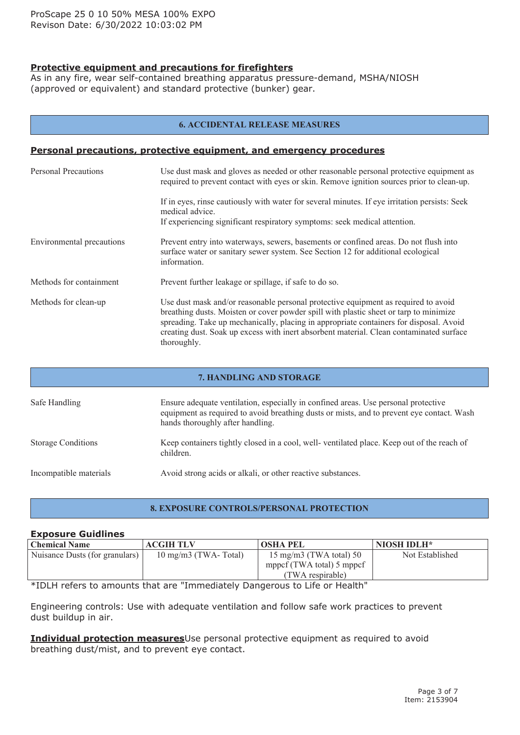## **Protective equipment and precautions for firefighters**

As in any fire, wear self-contained breathing apparatus pressure-demand, MSHA/NIOSH (approved or equivalent) and standard protective (bunker) gear.

#### **6. ACCIDENTAL RELEASE MEASURES**

#### **Personal precautions, protective equipment, and emergency procedures**

| <b>Personal Precautions</b> | Use dust mask and gloves as needed or other reasonable personal protective equipment as<br>required to prevent contact with eyes or skin. Remove ignition sources prior to clean-up.                                                                                                                                                                                            |
|-----------------------------|---------------------------------------------------------------------------------------------------------------------------------------------------------------------------------------------------------------------------------------------------------------------------------------------------------------------------------------------------------------------------------|
|                             | If in eyes, rinse cautiously with water for several minutes. If eye irritation persists: Seek<br>medical advice.<br>If experiencing significant respiratory symptoms: seek medical attention.                                                                                                                                                                                   |
| Environmental precautions   | Prevent entry into waterways, sewers, basements or confined areas. Do not flush into<br>surface water or sanitary sewer system. See Section 12 for additional ecological<br>information.                                                                                                                                                                                        |
| Methods for containment     | Prevent further leakage or spillage, if safe to do so.                                                                                                                                                                                                                                                                                                                          |
| Methods for clean-up        | Use dust mask and/or reasonable personal protective equipment as required to avoid<br>breathing dusts. Moisten or cover powder spill with plastic sheet or tarp to minimize<br>spreading. Take up mechanically, placing in appropriate containers for disposal. Avoid<br>creating dust. Soak up excess with inert absorbent material. Clean contaminated surface<br>thoroughly. |

# **7. HANDLING AND STORAGE** Safe Handling Ensure adequate ventilation, especially in confined areas. Use personal protective equipment as required to avoid breathing dusts or mists, and to preven<sup>t</sup> eye contact. Wash hands thoroughly after handling. Storage Conditions Keep containers tightly closed in <sup>a</sup> cool, well- ventilated place. Keep out of the reach of children. Incompatible materials Avoid strong acids or alkali, or other reactive substances.

#### **8. EXPOSURE CONTROLS/PERSONAL PROTECTION**

#### **Exposure Guidlines**

| <b>Chemical Name</b>           | <b>ACGIH TLV</b>              | <b>OSHA PEL</b>                  | NIOSH IDLH*     |
|--------------------------------|-------------------------------|----------------------------------|-----------------|
| Nuisance Dusts (for granulars) | $10 \text{ mg/m}$ (TWA-Total) | $15 \text{ mg/m}$ (TWA total) 50 | Not Established |
|                                |                               | mppcf (TWA total) 5 mppcf        |                 |
|                                |                               | (TWA respirable)                 |                 |

\*IDLH refers to amounts that are "Immediately Dangerous to Life or Health"

Engineering controls: Use with adequate ventilation and follow safe work practices to prevent dust buildup in air.

**Individual protection measures**Use personal protective equipment as required to avoid breathing dust/mist, and to prevent eye contact.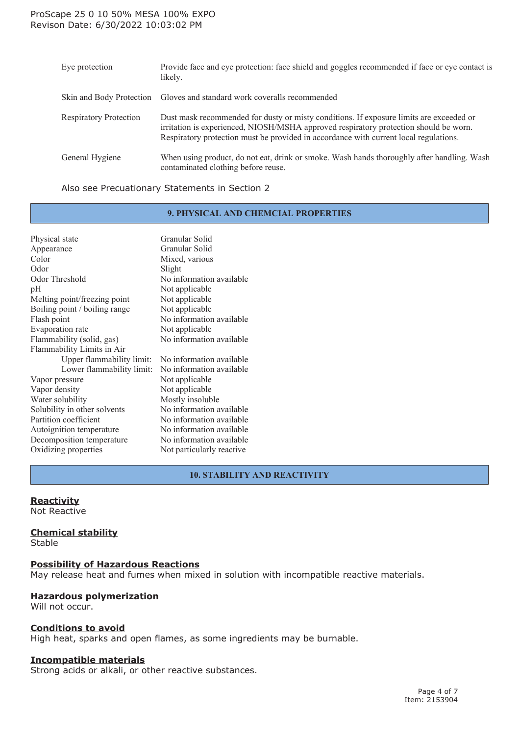#### ProScape 25 0 10 50% MESA 100% EXPO Revison Date: 6/30/2022 10:03:02 PM

| Eve protection                | Provide face and eye protection: face shield and goggles recommended if face or eye contact is<br>likely.                                                                                                                                                                 |
|-------------------------------|---------------------------------------------------------------------------------------------------------------------------------------------------------------------------------------------------------------------------------------------------------------------------|
| Skin and Body Protection      | Gloves and standard work coveralls recommended                                                                                                                                                                                                                            |
| <b>Respiratory Protection</b> | Dust mask recommended for dusty or misty conditions. If exposure limits are exceeded or<br>irritation is experienced, NIOSH/MSHA approved respiratory protection should be worn.<br>Respiratory protection must be provided in accordance with current local regulations. |
| General Hygiene               | When using product, do not eat, drink or smoke. Wash hands thoroughly after handling. Wash<br>contaminated clothing before reuse.                                                                                                                                         |

#### Also see Precuationary Statements in Section 2

#### **9. PHYSICAL AND CHEMCIAL PROPERTIES**

| Physical state                | Granular Solid            |
|-------------------------------|---------------------------|
| Appearance                    | Granular Solid            |
| Color                         | Mixed, various            |
| Odor                          | Slight                    |
| Odor Threshold                | No information available  |
| pH                            | Not applicable            |
| Melting point/freezing point  | Not applicable            |
| Boiling point / boiling range | Not applicable            |
| Flash point                   | No information available  |
| Evaporation rate              | Not applicable            |
| Flammability (solid, gas)     | No information available  |
| Flammability Limits in Air    |                           |
| Upper flammability limit:     | No information available  |
| Lower flammability limit:     | No information available  |
| Vapor pressure                | Not applicable            |
| Vapor density                 | Not applicable            |
| Water solubility              | Mostly insoluble          |
| Solubility in other solvents  | No information available  |
| Partition coefficient         | No information available  |
| Autoignition temperature      | No information available  |
| Decomposition temperature     | No information available  |
| Oxidizing properties          | Not particularly reactive |
|                               |                           |

## **10. STABILITY AND REACTIVITY**

#### **Reactivity**

Not Reactive

#### **Chemical stability**

Stable

#### **Possibility of Hazardous Reactions**

May release heat and fumes when mixed in solution with incompatible reactive materials.

## **Hazardous polymerization**

Will not occur.

#### **Conditions to avoid**

High heat, sparks and open flames, as some ingredients may be burnable.

#### **Incompatible materials**

Strong acids or alkali, or other reactive substances.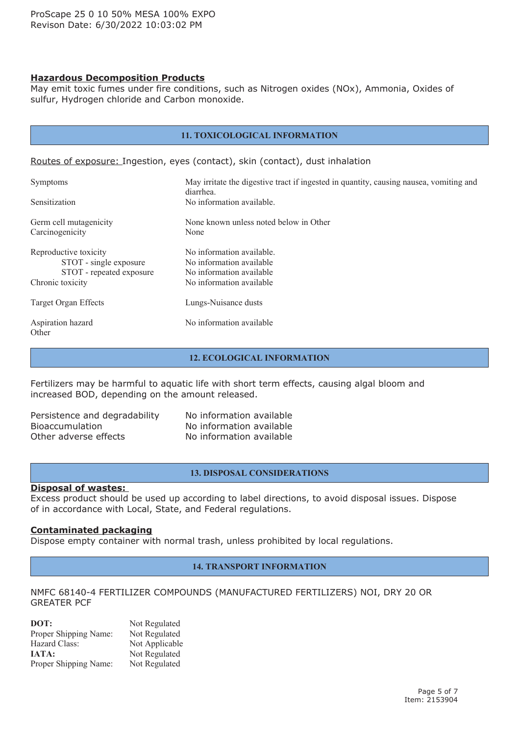#### **Hazardous Decomposition Products**

May emit toxic fumes under fire conditions, such as Nitrogen oxides (NOx), Ammonia, Oxides of sulfur, Hydrogen chloride and Carbon monoxide.

| <b>11. TOXICOLOGICAL INFORMATION</b>                                                            |                                                                                                               |  |
|-------------------------------------------------------------------------------------------------|---------------------------------------------------------------------------------------------------------------|--|
|                                                                                                 | Routes of exposure: Ingestion, eyes (contact), skin (contact), dust inhalation                                |  |
| <b>Symptoms</b>                                                                                 | May irritate the digestive tract if ingested in quantity, causing nausea, vomiting and                        |  |
| Sensitization                                                                                   | diarrhea.<br>No information available.                                                                        |  |
| Germ cell mutagenicity<br>Carcinogenicity                                                       | None known unless noted below in Other<br>None                                                                |  |
| Reproductive toxicity<br>STOT - single exposure<br>STOT - repeated exposure<br>Chronic toxicity | No information available.<br>No information available<br>No information available<br>No information available |  |
| Target Organ Effects                                                                            | Lungs-Nuisance dusts                                                                                          |  |
| Aspiration hazard<br>Other                                                                      | No information available                                                                                      |  |

#### **12. ECOLOGICAL INFORMATION**

Fertilizers may be harmful to aquatic life with short term effects, causing algal bloom and increased BOD, depending on the amount released.

| Persistence and degradability |
|-------------------------------|
| <b>Bioaccumulation</b>        |
| Other adverse effects         |

No information available No information available No information available

#### **13. DISPOSAL CONSIDERATIONS**

#### **Disposal of wastes:**

Excess product should be used up according to label directions, to avoid disposal issues. Dispose of in accordance with Local, State, and Federal regulations.

#### **Contaminated packaging**

Dispose empty container with normal trash, unless prohibited by local regulations.

#### **14. TRANSPORT INFORMATION**

#### NMFC 68140-4 FERTILIZER COMPOUNDS (MANUFACTURED FERTILIZERS) NOI, DRY 20 OR GREATER PCF

| DOT:                  | Not Regulated  |
|-----------------------|----------------|
| Proper Shipping Name: | Not Regulated  |
| Hazard Class:         | Not Applicable |
| <b>JATA:</b>          | Not Regulated  |
| Proper Shipping Name: | Not Regulated  |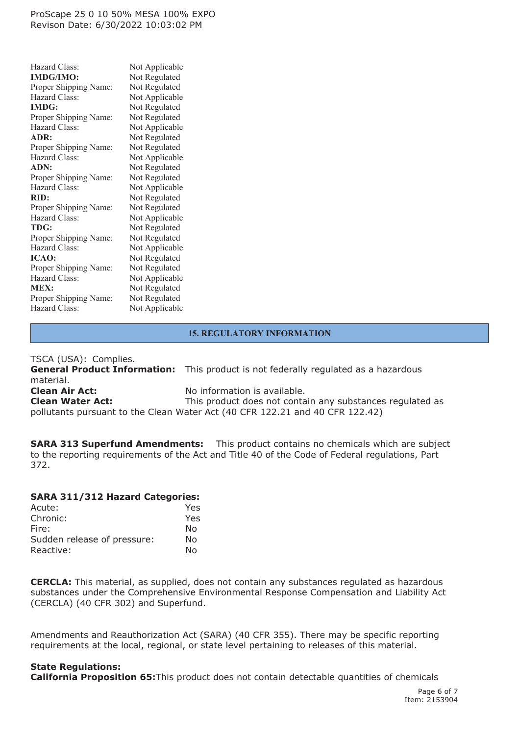#### ProScape 25 0 10 50% MESA 100% EXPO Revison Date: 6/30/2022 10:03:02 PM

| Hazard Class:         | Not Applicable |
|-----------------------|----------------|
| <b>IMDG/IMO:</b>      | Not Regulated  |
| Proper Shipping Name: | Not Regulated  |
| Hazard Class:         | Not Applicable |
| <b>IMDG:</b>          | Not Regulated  |
| Proper Shipping Name: | Not Regulated  |
| Hazard Class:         | Not Applicable |
| ADR:                  | Not Regulated  |
| Proper Shipping Name: | Not Regulated  |
| Hazard Class:         | Not Applicable |
| ADN:                  | Not Regulated  |
| Proper Shipping Name: | Not Regulated  |
| Hazard Class:         | Not Applicable |
| RID:                  | Not Regulated  |
| Proper Shipping Name: | Not Regulated  |
| Hazard Class:         | Not Applicable |
| TDG:                  | Not Regulated  |
| Proper Shipping Name: | Not Regulated  |
| Hazard Class:         | Not Applicable |
| ICAO:                 | Not Regulated  |
| Proper Shipping Name: | Not Regulated  |
| Hazard Class:         | Not Applicable |
| <b>MEX:</b>           | Not Regulated  |
| Proper Shipping Name: | Not Regulated  |
| Hazard Class:         | Not Applicable |

## **15. REGULATORY INFORMATION**

TSCA (USA): Complies. **General Product Information:** This product is not federally regulated as <sup>a</sup> hazardous material. **Clean Air Act:** No information is available. **Clean Water Act:** This product does not contain any substances regulated as pollutants pursuant to the Clean Water Act (40 CFR 122.21 and 40 CFR 122.42)

**SARA 313 Superfund Amendments:** This product contains no chemicals which are subject to the reporting requirements of the Act and Title 40 of the Code of Federal regulations, Part 372.

#### **SARA 311/312 Hazard Categories:**

| Yes. |
|------|
| Yes  |
| No   |
| No   |
| N٥   |
|      |

**CERCLA:** This material, as supplied, does not contain any substances regulated as hazardous substances under the Comprehensive Environmental Response Compensation and Liability Act (CERCLA) (40 CFR 302) and Superfund.

Amendments and Reauthorization Act (SARA) (40 CFR 355). There may be specific reporting requirements at the local, regional, or state level pertaining to releases of this material.

#### **State Regulations:**

**California Proposition 65:**This product does not contain detectable quantities of chemicals